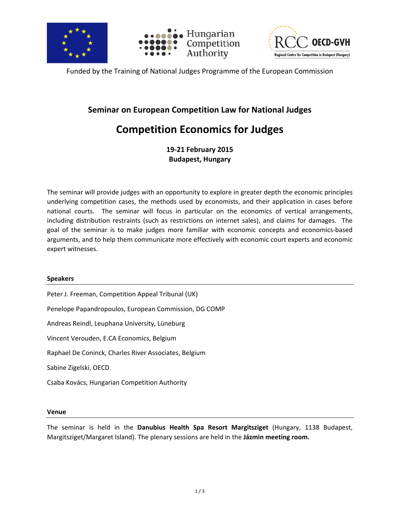





Funded by the Training of National Judges Programme of the European Commission

### **Seminar on European Competition Law for National Judges**

# **Competition Economics for Judges**

**19-21 February 2015 Budapest, Hungary**

The seminar will provide judges with an opportunity to explore in greater depth the economic principles underlying competition cases, the methods used by economists, and their application in cases before national courts. The seminar will focus in particular on the economics of vertical arrangements, including distribution restraints (such as restrictions on internet sales), and claims for damages. The goal of the seminar is to make judges more familiar with economic concepts and economics-based arguments, and to help them communicate more effectively with economic court experts and economic expert witnesses.

### **Speakers**

Peter J. Freeman, Competition Appeal Tribunal (UK) Penelope Papandropoulos, European Commission, DG COMP Andreas Reindl, Leuphana University, Lüneburg Vincent Verouden, E.CA Economics, Belgium Raphael De Coninck, Charles River Associates, Belgium Sabine Zigelski, OECD Csaba Kovács, Hungarian Competition Authority

### **Venue**

The seminar is held in the **Danubius Health Spa Resort Margitsziget** (Hungary, 1138 Budapest, Margitsziget/Margaret Island). The plenary sessions are held in the **Jázmin meeting room.**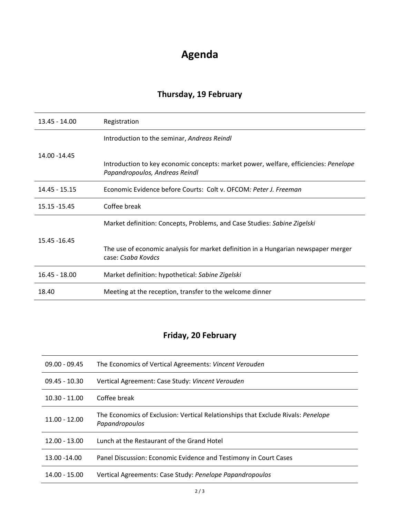# **Agenda**

# **Thursday, 19 February**

| 13.45 - 14.00   | Registration                                                                                                           |
|-----------------|------------------------------------------------------------------------------------------------------------------------|
| 14.00 - 14.45   | Introduction to the seminar, Andreas Reindl                                                                            |
|                 | Introduction to key economic concepts: market power, welfare, efficiencies: Penelope<br>Papandropoulos, Andreas Reindl |
| $14.45 - 15.15$ | Economic Evidence before Courts: Colt v. OFCOM: Peter J. Freeman                                                       |
| 15.15 - 15.45   | Coffee break                                                                                                           |
| 15.45 - 16.45   | Market definition: Concepts, Problems, and Case Studies: Sabine Zigelski                                               |
|                 | The use of economic analysis for market definition in a Hungarian newspaper merger<br>case: Csaba Kovács               |
| $16.45 - 18.00$ | Market definition: hypothetical: Sabine Zigelski                                                                       |
| 18.40           | Meeting at the reception, transfer to the welcome dinner                                                               |

## **Friday, 20 February**

| $09.00 - 09.45$ | The Economics of Vertical Agreements: Vincent Verouden                                             |
|-----------------|----------------------------------------------------------------------------------------------------|
| $09.45 - 10.30$ | Vertical Agreement: Case Study: Vincent Verouden                                                   |
| $10.30 - 11.00$ | Coffee break                                                                                       |
| $11.00 - 12.00$ | The Economics of Exclusion: Vertical Relationships that Exclude Rivals: Penelope<br>Papandropoulos |
| $12.00 - 13.00$ | Lunch at the Restaurant of the Grand Hotel                                                         |
| 13.00 -14.00    | Panel Discussion: Economic Evidence and Testimony in Court Cases                                   |
| 14.00 - 15.00   | Vertical Agreements: Case Study: Penelope Papandropoulos                                           |